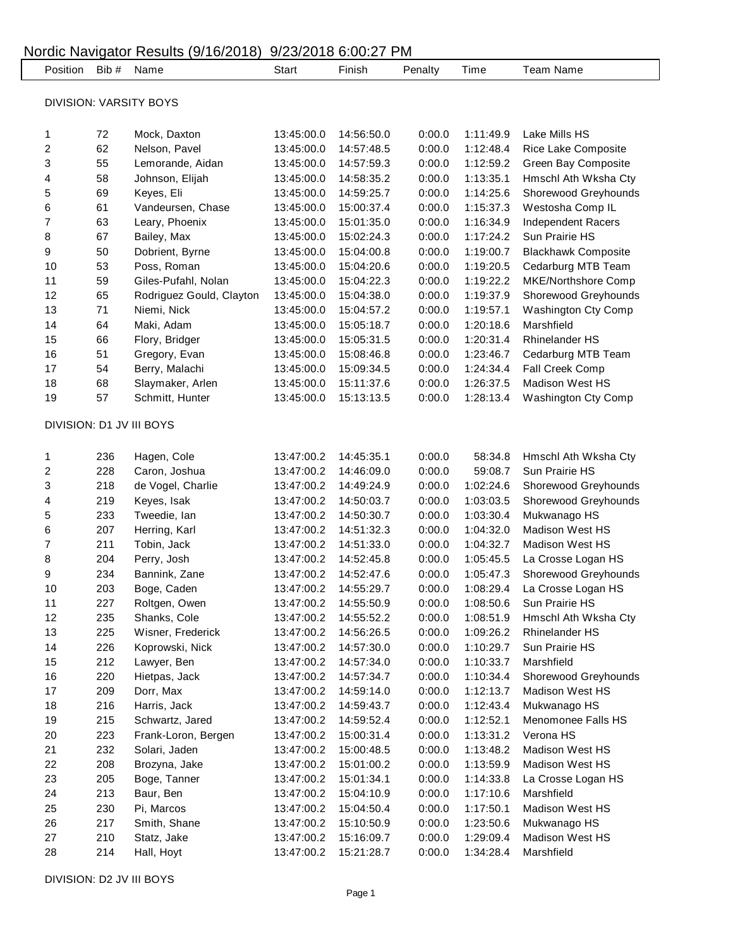|                               | Nordic Navigator Results (9/16/2018)<br>9/23/2018 6:00:27 PM |                          |            |            |         |           |                              |  |  |
|-------------------------------|--------------------------------------------------------------|--------------------------|------------|------------|---------|-----------|------------------------------|--|--|
| Position                      | Bib #                                                        | Name                     | Start      | Finish     | Penalty | Time      | <b>Team Name</b>             |  |  |
| <b>DIVISION: VARSITY BOYS</b> |                                                              |                          |            |            |         |           |                              |  |  |
|                               |                                                              |                          |            |            |         |           |                              |  |  |
| 1                             | 72                                                           | Mock, Daxton             | 13:45:00.0 | 14:56:50.0 | 0:00.0  | 1:11:49.9 | Lake Mills HS                |  |  |
| 2                             | 62                                                           | Nelson, Pavel            | 13:45:00.0 | 14:57:48.5 | 0:00.0  | 1:12:48.4 | Rice Lake Composite          |  |  |
| 3                             | 55                                                           | Lemorande, Aidan         | 13:45:00.0 | 14:57:59.3 | 0:00.0  | 1:12:59.2 | Green Bay Composite          |  |  |
| 4                             | 58                                                           | Johnson, Elijah          | 13:45:00.0 | 14:58:35.2 | 0:00.0  | 1:13:35.1 | Hmschl Ath Wksha Cty         |  |  |
| 5                             | 69                                                           | Keyes, Eli               | 13:45:00.0 | 14:59:25.7 | 0:00.0  | 1:14:25.6 | Shorewood Greyhounds         |  |  |
| 6                             | 61                                                           | Vandeursen, Chase        | 13:45:00.0 | 15:00:37.4 | 0:00.0  | 1:15:37.3 | Westosha Comp IL             |  |  |
| $\overline{7}$                | 63                                                           | Leary, Phoenix           | 13:45:00.0 | 15:01:35.0 | 0:00.0  | 1:16:34.9 | <b>Independent Racers</b>    |  |  |
| 8                             | 67                                                           | Bailey, Max              | 13:45:00.0 | 15:02:24.3 | 0:00.0  | 1:17:24.2 | Sun Prairie HS               |  |  |
| 9                             | 50                                                           | Dobrient, Byrne          | 13:45:00.0 | 15:04:00.8 | 0:00.0  | 1:19:00.7 | <b>Blackhawk Composite</b>   |  |  |
| 10                            | 53                                                           | Poss, Roman              | 13:45:00.0 | 15:04:20.6 | 0:00.0  | 1:19:20.5 | Cedarburg MTB Team           |  |  |
| 11                            | 59                                                           | Giles-Pufahl, Nolan      | 13:45:00.0 | 15:04:22.3 | 0:00.0  | 1:19:22.2 | MKE/Northshore Comp          |  |  |
| 12                            | 65                                                           | Rodriguez Gould, Clayton | 13:45:00.0 | 15:04:38.0 | 0:00.0  | 1:19:37.9 | Shorewood Greyhounds         |  |  |
| 13                            | 71                                                           | Niemi, Nick              | 13:45:00.0 | 15:04:57.2 | 0:00.0  | 1:19:57.1 | Washington Cty Comp          |  |  |
| 14                            | 64                                                           | Maki, Adam               | 13:45:00.0 | 15:05:18.7 | 0:00.0  | 1:20:18.6 | Marshfield                   |  |  |
| 15                            | 66                                                           | Flory, Bridger           | 13:45:00.0 | 15:05:31.5 | 0:00.0  | 1:20:31.4 | <b>Rhinelander HS</b>        |  |  |
| 16                            | 51                                                           | Gregory, Evan            | 13:45:00.0 | 15:08:46.8 | 0:00.0  | 1:23:46.7 | Cedarburg MTB Team           |  |  |
| 17                            | 54                                                           | Berry, Malachi           | 13:45:00.0 | 15:09:34.5 | 0:00.0  | 1:24:34.4 | Fall Creek Comp              |  |  |
| 18                            | 68                                                           | Slaymaker, Arlen         | 13:45:00.0 | 15:11:37.6 | 0:00.0  | 1:26:37.5 | Madison West HS              |  |  |
| 19                            | 57                                                           | Schmitt, Hunter          | 13:45:00.0 | 15:13:13.5 | 0:00.0  | 1:28:13.4 | Washington Cty Comp          |  |  |
|                               |                                                              | DIVISION: D1 JV III BOYS |            |            |         |           |                              |  |  |
|                               |                                                              |                          |            |            |         |           |                              |  |  |
| 1                             | 236                                                          | Hagen, Cole              | 13:47:00.2 | 14:45:35.1 | 0:00.0  | 58:34.8   | Hmschl Ath Wksha Cty         |  |  |
| $\overline{\mathbf{c}}$       | 228                                                          | Caron, Joshua            | 13:47:00.2 | 14:46:09.0 | 0:00.0  | 59:08.7   | Sun Prairie HS               |  |  |
| 3                             | 218                                                          | de Vogel, Charlie        | 13:47:00.2 | 14:49:24.9 | 0:00.0  | 1:02:24.6 | Shorewood Greyhounds         |  |  |
| 4                             | 219                                                          | Keyes, Isak              | 13:47:00.2 | 14:50:03.7 | 0:00.0  | 1:03:03.5 | Shorewood Greyhounds         |  |  |
| 5                             | 233                                                          | Tweedie, lan             | 13:47:00.2 | 14:50:30.7 | 0:00.0  | 1:03:30.4 | Mukwanago HS                 |  |  |
| 6                             | 207                                                          | Herring, Karl            | 13:47:00.2 | 14:51:32.3 | 0:00.0  | 1:04:32.0 | <b>Madison West HS</b>       |  |  |
| $\overline{7}$                | 211                                                          | Tobin, Jack              | 13:47:00.2 | 14:51:33.0 | 0:00.0  | 1:04:32.7 | <b>Madison West HS</b>       |  |  |
| 8                             | 204                                                          | Perry, Josh              | 13:47:00.2 | 14:52:45.8 | 0:00.0  | 1:05:45.5 | La Crosse Logan HS           |  |  |
| $\mathbf{Q}$                  | 234                                                          | Bannink, Zane            | 13:47:00.2 | 14:52:47.6 | 0:00.0  | 1:05:47.3 | Shorewood Greyhounds         |  |  |
| 10                            | 203                                                          | Boge, Caden              | 13:47:00.2 | 14:55:29.7 | 0:00.0  |           | 1:08:29.4 La Crosse Logan HS |  |  |
| 11                            | 227                                                          | Roltgen, Owen            | 13:47:00.2 | 14:55:50.9 | 0:00.0  | 1:08:50.6 | Sun Prairie HS               |  |  |
| 12                            | 235                                                          | Shanks, Cole             | 13:47:00.2 | 14:55:52.2 | 0:00.0  | 1:08:51.9 | Hmschl Ath Wksha Cty         |  |  |
| 13                            | 225                                                          | Wisner, Frederick        | 13:47:00.2 | 14:56:26.5 | 0:00.0  | 1:09:26.2 | <b>Rhinelander HS</b>        |  |  |
| 14                            | 226                                                          | Koprowski, Nick          | 13:47:00.2 | 14:57:30.0 | 0:00.0  | 1:10:29.7 | Sun Prairie HS               |  |  |
| 15                            | 212                                                          | Lawyer, Ben              | 13:47:00.2 | 14:57:34.0 | 0:00.0  | 1:10:33.7 | Marshfield                   |  |  |
| 16                            | 220                                                          | Hietpas, Jack            | 13:47:00.2 | 14:57:34.7 | 0:00.0  | 1:10:34.4 | Shorewood Greyhounds         |  |  |
| 17                            | 209                                                          | Dorr, Max                | 13:47:00.2 | 14:59:14.0 | 0:00.0  | 1:12:13.7 | Madison West HS              |  |  |
| 18                            | 216                                                          | Harris, Jack             | 13:47:00.2 | 14:59:43.7 | 0:00.0  | 1:12:43.4 | Mukwanago HS                 |  |  |
| 19                            | 215                                                          | Schwartz, Jared          | 13:47:00.2 | 14:59:52.4 | 0:00.0  | 1:12:52.1 | Menomonee Falls HS           |  |  |
| 20                            | 223                                                          | Frank-Loron, Bergen      | 13:47:00.2 | 15:00:31.4 | 0:00.0  | 1:13:31.2 | Verona HS                    |  |  |
| 21                            | 232                                                          | Solari, Jaden            | 13:47:00.2 | 15:00:48.5 | 0:00.0  | 1:13:48.2 | Madison West HS              |  |  |
| 22                            | 208                                                          | Brozyna, Jake            | 13:47:00.2 | 15:01:00.2 | 0:00.0  | 1:13:59.9 | Madison West HS              |  |  |
| 23                            | 205                                                          | Boge, Tanner             | 13:47:00.2 | 15:01:34.1 | 0:00.0  | 1:14:33.8 | La Crosse Logan HS           |  |  |
| 24                            | 213                                                          | Baur, Ben                | 13:47:00.2 | 15:04:10.9 | 0:00.0  | 1:17:10.6 | Marshfield                   |  |  |
| 25                            | 230                                                          | Pi, Marcos               | 13:47:00.2 | 15:04:50.4 | 0:00.0  | 1:17:50.1 | Madison West HS              |  |  |
| 26                            | 217                                                          | Smith, Shane             | 13:47:00.2 | 15:10:50.9 | 0:00.0  | 1:23:50.6 | Mukwanago HS                 |  |  |
| 27                            | 210                                                          | Statz, Jake              | 13:47:00.2 | 15:16:09.7 | 0:00.0  | 1:29:09.4 | Madison West HS              |  |  |
| 28                            | 214                                                          | Hall, Hoyt               | 13:47:00.2 | 15:21:28.7 | 0:00.0  | 1:34:28.4 | Marshfield                   |  |  |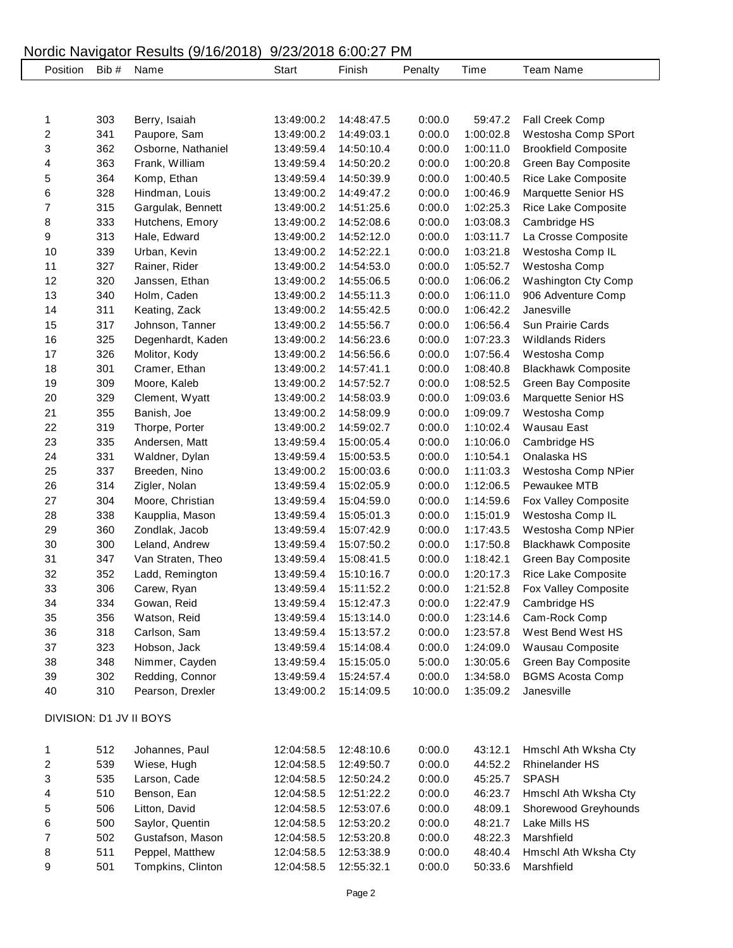## Nordic Navigator Results (9/16/2018) 9/23/2018 6:00:27 PM

| Position         | Bib #                   | $\frac{1}{2}$<br>Name | <b>Start</b> | 0, 20, 20 10 0.00. 21 1111<br>Finish | Penalty | Time      | <b>Team Name</b>            |  |  |  |
|------------------|-------------------------|-----------------------|--------------|--------------------------------------|---------|-----------|-----------------------------|--|--|--|
|                  |                         |                       |              |                                      |         |           |                             |  |  |  |
|                  |                         |                       |              |                                      |         |           |                             |  |  |  |
| 1                | 303                     | Berry, Isaiah         | 13:49:00.2   | 14:48:47.5                           | 0:00.0  | 59:47.2   | Fall Creek Comp             |  |  |  |
| 2                | 341                     | Paupore, Sam          | 13:49:00.2   | 14:49:03.1                           | 0:00.0  | 1:00:02.8 | Westosha Comp SPort         |  |  |  |
| 3                | 362                     | Osborne, Nathaniel    | 13:49:59.4   | 14:50:10.4                           | 0:00.0  | 1:00:11.0 | <b>Brookfield Composite</b> |  |  |  |
| 4                | 363                     | Frank, William        | 13:49:59.4   | 14:50:20.2                           | 0:00.0  | 1:00:20.8 | Green Bay Composite         |  |  |  |
| 5                | 364                     | Komp, Ethan           | 13:49:59.4   | 14:50:39.9                           | 0:00.0  | 1:00:40.5 | Rice Lake Composite         |  |  |  |
| 6                | 328                     | Hindman, Louis        | 13:49:00.2   | 14:49:47.2                           | 0:00.0  | 1:00:46.9 | Marquette Senior HS         |  |  |  |
| 7                | 315                     | Gargulak, Bennett     | 13:49:00.2   | 14:51:25.6                           | 0:00.0  | 1:02:25.3 | Rice Lake Composite         |  |  |  |
| 8                | 333                     | Hutchens, Emory       | 13:49:00.2   | 14:52:08.6                           | 0:00.0  | 1:03:08.3 | Cambridge HS                |  |  |  |
| 9                | 313                     | Hale, Edward          | 13:49:00.2   | 14:52:12.0                           | 0:00.0  | 1:03:11.7 | La Crosse Composite         |  |  |  |
| 10               | 339                     | Urban, Kevin          | 13:49:00.2   | 14:52:22.1                           | 0:00.0  | 1:03:21.8 | Westosha Comp IL            |  |  |  |
| 11               | 327                     | Rainer, Rider         | 13:49:00.2   | 14:54:53.0                           | 0:00.0  | 1:05:52.7 | Westosha Comp               |  |  |  |
| 12               | 320                     | Janssen, Ethan        | 13:49:00.2   | 14:55:06.5                           | 0:00.0  | 1:06:06.2 | Washington Cty Comp         |  |  |  |
| 13               | 340                     | Holm, Caden           | 13:49:00.2   | 14:55:11.3                           | 0:00.0  | 1:06:11.0 | 906 Adventure Comp          |  |  |  |
| 14               | 311                     | Keating, Zack         | 13:49:00.2   | 14:55:42.5                           | 0:00.0  | 1:06:42.2 | Janesville                  |  |  |  |
| 15               | 317                     | Johnson, Tanner       | 13:49:00.2   | 14:55:56.7                           | 0:00.0  | 1:06:56.4 | Sun Prairie Cards           |  |  |  |
| 16               | 325                     | Degenhardt, Kaden     | 13:49:00.2   | 14:56:23.6                           | 0:00.0  | 1:07:23.3 | <b>Wildlands Riders</b>     |  |  |  |
| 17               | 326                     | Molitor, Kody         | 13:49:00.2   | 14:56:56.6                           | 0:00.0  | 1:07:56.4 | Westosha Comp               |  |  |  |
| 18               | 301                     | Cramer, Ethan         | 13:49:00.2   | 14:57:41.1                           | 0:00.0  | 1:08:40.8 | <b>Blackhawk Composite</b>  |  |  |  |
| 19               | 309                     | Moore, Kaleb          | 13:49:00.2   | 14:57:52.7                           | 0:00.0  | 1:08:52.5 | Green Bay Composite         |  |  |  |
| 20               | 329                     | Clement, Wyatt        | 13:49:00.2   | 14:58:03.9                           | 0:00.0  | 1:09:03.6 | Marquette Senior HS         |  |  |  |
| 21               | 355                     | Banish, Joe           | 13:49:00.2   | 14:58:09.9                           | 0:00.0  | 1:09:09.7 | Westosha Comp               |  |  |  |
| 22               | 319                     | Thorpe, Porter        | 13:49:00.2   | 14:59:02.7                           | 0:00.0  | 1:10:02.4 | <b>Wausau East</b>          |  |  |  |
| 23               | 335                     | Andersen, Matt        | 13:49:59.4   | 15:00:05.4                           | 0:00.0  | 1:10:06.0 | Cambridge HS                |  |  |  |
| 24               | 331                     | Waldner, Dylan        | 13:49:59.4   | 15:00:53.5                           | 0:00.0  | 1:10:54.1 | Onalaska HS                 |  |  |  |
| 25               | 337                     | Breeden, Nino         | 13:49:00.2   | 15:00:03.6                           | 0:00.0  | 1:11:03.3 | Westosha Comp NPier         |  |  |  |
| 26               | 314                     | Zigler, Nolan         | 13:49:59.4   | 15:02:05.9                           | 0:00.0  | 1:12:06.5 | Pewaukee MTB                |  |  |  |
| 27               | 304                     | Moore, Christian      | 13:49:59.4   | 15:04:59.0                           | 0:00.0  | 1:14:59.6 | Fox Valley Composite        |  |  |  |
| 28               | 338                     | Kaupplia, Mason       | 13:49:59.4   | 15:05:01.3                           | 0:00.0  | 1:15:01.9 | Westosha Comp IL            |  |  |  |
| 29               | 360                     | Zondlak, Jacob        | 13:49:59.4   | 15:07:42.9                           | 0:00.0  | 1:17:43.5 | Westosha Comp NPier         |  |  |  |
| 30               | 300                     | Leland, Andrew        | 13:49:59.4   | 15:07:50.2                           | 0:00.0  | 1:17:50.8 | <b>Blackhawk Composite</b>  |  |  |  |
| 31               | 347                     | Van Straten, Theo     | 13:49:59.4   | 15:08:41.5                           | 0:00.0  | 1:18:42.1 | Green Bay Composite         |  |  |  |
| 32               | 352                     | Ladd, Remington       | 13:49:59.4   | 15:10:16.7                           | 0:00.0  | 1:20:17.3 | Rice Lake Composite         |  |  |  |
| 33               | 306                     | Carew, Ryan           | 13:49:59.4   | 15:11:52.2                           | 0:00.0  | 1:21:52.8 | Fox Valley Composite        |  |  |  |
| 34               | 334                     | Gowan, Reid           | 13:49:59.4   | 15:12:47.3                           | 0:00.0  | 1:22:47.9 | Cambridge HS                |  |  |  |
| 35               | 356                     | Watson, Reid          | 13:49:59.4   | 15:13:14.0                           | 0:00.0  | 1:23:14.6 | Cam-Rock Comp               |  |  |  |
| 36               | 318                     | Carlson, Sam          | 13:49:59.4   | 15:13:57.2                           | 0:00.0  | 1:23:57.8 | West Bend West HS           |  |  |  |
| 37               | 323                     | Hobson, Jack          | 13:49:59.4   | 15:14:08.4                           | 0:00.0  | 1:24:09.0 | Wausau Composite            |  |  |  |
| 38               | 348                     | Nimmer, Cayden        | 13:49:59.4   | 15:15:05.0                           | 5:00.0  | 1:30:05.6 | Green Bay Composite         |  |  |  |
| 39               | 302                     | Redding, Connor       | 13:49:59.4   | 15:24:57.4                           | 0:00.0  | 1:34:58.0 | <b>BGMS Acosta Comp</b>     |  |  |  |
| 40               | 310                     | Pearson, Drexler      | 13:49:00.2   | 15:14:09.5                           | 10:00.0 | 1:35:09.2 | Janesville                  |  |  |  |
|                  | DIVISION: D1 JV II BOYS |                       |              |                                      |         |           |                             |  |  |  |
|                  |                         |                       |              |                                      |         |           |                             |  |  |  |
| 1                | 512                     | Johannes, Paul        | 12:04:58.5   | 12:48:10.6                           | 0:00.0  | 43:12.1   | Hmschl Ath Wksha Cty        |  |  |  |
| 2                | 539                     | Wiese, Hugh           | 12:04:58.5   | 12:49:50.7                           | 0:00.0  | 44:52.2   | <b>Rhinelander HS</b>       |  |  |  |
| 3                | 535                     | Larson, Cade          | 12:04:58.5   | 12:50:24.2                           | 0:00.0  | 45:25.7   | <b>SPASH</b>                |  |  |  |
| 4                | 510                     | Benson, Ean           | 12:04:58.5   | 12:51:22.2                           | 0:00.0  | 46:23.7   | Hmschl Ath Wksha Cty        |  |  |  |
| 5                | 506                     | Litton, David         | 12:04:58.5   | 12:53:07.6                           | 0:00.0  | 48:09.1   | Shorewood Greyhounds        |  |  |  |
| 6                | 500                     | Saylor, Quentin       | 12:04:58.5   | 12:53:20.2                           | 0:00.0  | 48:21.7   | Lake Mills HS               |  |  |  |
| $\boldsymbol{7}$ | 502                     | Gustafson, Mason      | 12:04:58.5   | 12:53:20.8                           | 0:00.0  | 48:22.3   | Marshfield                  |  |  |  |
| 8                | 511                     | Peppel, Matthew       | 12:04:58.5   | 12:53:38.9                           | 0:00.0  | 48:40.4   | Hmschl Ath Wksha Cty        |  |  |  |
| 9                | 501                     | Tompkins, Clinton     | 12:04:58.5   | 12:55:32.1                           | 0:00.0  | 50:33.6   | Marshfield                  |  |  |  |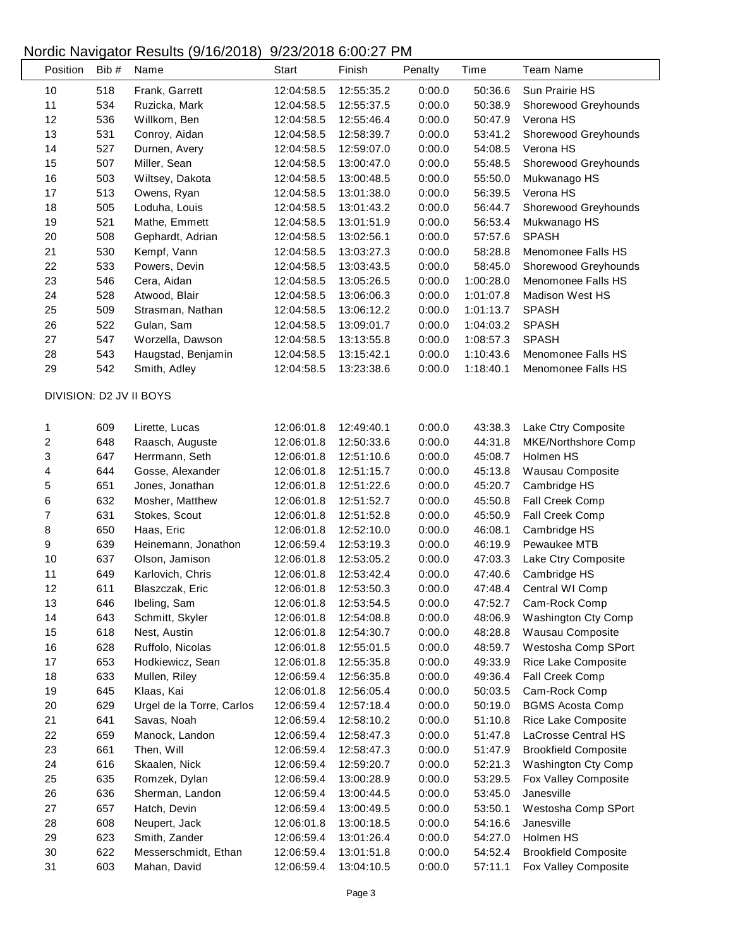## Nordic Navigator Results (9/16/2018) 9/23/2018 6:00:27 PM

 $\mathsf{L}$ 

| 518<br>10<br>Frank, Garrett<br>12:55:35.2<br>0:00.0<br>50:36.6<br>Sun Prairie HS<br>12:04:58.5<br>11<br>534<br>0:00.0<br>50:38.9<br>Ruzicka, Mark<br>12:04:58.5<br>12:55:37.5<br>Shorewood Greyhounds<br>12<br>536<br>Willkom, Ben<br>0:00.0<br>50:47.9<br>Verona HS<br>12:04:58.5<br>12:55:46.4<br>13<br>531<br>Conroy, Aidan<br>0:00.0<br>53:41.2<br>12:04:58.5<br>12:58:39.7<br>Shorewood Greyhounds<br>14<br>527<br>0:00.0<br>54:08.5<br>Verona HS<br>Durnen, Avery<br>12:04:58.5<br>12:59:07.0<br>15<br>507<br>Miller, Sean<br>0:00.0<br>55:48.5<br>12:04:58.5<br>13:00:47.0<br>Shorewood Greyhounds<br>503<br>16<br>Wiltsey, Dakota<br>0:00.0<br>55:50.0<br>12:04:58.5<br>13:00:48.5<br>Mukwanago HS<br>513<br>17<br>0:00.0<br>56:39.5<br>Verona HS<br>Owens, Ryan<br>12:04:58.5<br>13:01:38.0<br>18<br>505<br>Loduha, Louis<br>0:00.0<br>12:04:58.5<br>13:01:43.2<br>56:44.7<br>Shorewood Greyhounds<br>19<br>521<br>Mathe, Emmett<br>0:00.0<br>56:53.4<br>12:04:58.5<br>13:01:51.9<br>Mukwanago HS<br>20<br>508<br>0:00.0<br>57:57.6<br><b>SPASH</b><br>Gephardt, Adrian<br>12:04:58.5<br>13:02:56.1<br>21<br>530<br>0:00.0<br>58:28.8<br>Menomonee Falls HS<br>Kempf, Vann<br>12:04:58.5<br>13:03:27.3<br>22<br>533<br>Powers, Devin<br>0:00.0<br>Shorewood Greyhounds<br>12:04:58.5<br>13:03:43.5<br>58:45.0<br>23<br>546<br>0:00.0<br>Cera, Aidan<br>12:04:58.5<br>13:05:26.5<br>1:00:28.0<br>Menomonee Falls HS<br>24<br>528<br>0:00.0<br><b>Madison West HS</b><br>Atwood, Blair<br>12:04:58.5<br>13:06:06.3<br>1:01:07.8<br>25<br>509<br>0:00.0<br><b>SPASH</b><br>Strasman, Nathan<br>12:04:58.5<br>13:06:12.2<br>1:01:13.7<br>26<br>522<br>Gulan, Sam<br>0:00.0<br><b>SPASH</b><br>12:04:58.5<br>13:09:01.7<br>1:04:03.2<br>27<br>547<br>Worzella, Dawson<br>0:00.0<br>1:08:57.3<br><b>SPASH</b><br>12:04:58.5<br>13:13:55.8<br>28<br>543<br>Haugstad, Benjamin<br>0:00.0<br>12:04:58.5<br>13:15:42.1<br>1:10:43.6<br>Menomonee Falls HS<br>542<br>29<br>0:00.0<br>Menomonee Falls HS<br>Smith, Adley<br>12:04:58.5<br>13:23:38.6<br>1:18:40.1<br>DIVISION: D2 JV II BOYS<br>609<br>12:49:40.1<br>0:00.0<br>Lake Ctry Composite<br>1<br>Lirette, Lucas<br>12:06:01.8<br>43:38.3<br>$\overline{\mathbf{c}}$<br>648<br>0:00.0<br>44:31.8<br>MKE/Northshore Comp<br>Raasch, Auguste<br>12:06:01.8<br>12:50:33.6<br>3<br>647<br>Herrmann, Seth<br>0:00.0<br>45:08.7<br>12:06:01.8<br>12:51:10.6<br>Holmen HS<br>644<br>Gosse, Alexander<br>45:13.8<br>4<br>12:06:01.8<br>12:51:15.7<br>0:00.0<br>Wausau Composite<br>5<br>651<br>Jones, Jonathan<br>12:06:01.8<br>12:51:22.6<br>0:00.0<br>45:20.7<br>Cambridge HS<br>6<br>632<br>Mosher, Matthew<br>12:06:01.8<br>12:51:52.7<br>0:00.0<br>45:50.8<br>Fall Creek Comp<br>$\overline{7}$<br>631<br>Stokes, Scout<br>12:06:01.8<br>12:51:52.8<br>0:00.0<br>45:50.9<br>Fall Creek Comp<br>8<br>650<br>Haas, Eric<br>12:06:01.8<br>12:52:10.0<br>0:00.0<br>46:08.1<br>Cambridge HS<br>9<br>639<br>0:00.0<br>Pewaukee MTB<br>Heinemann, Jonathon<br>12:06:59.4<br>12:53:19.3<br>46:19.9<br>637<br>Olson, Jamison<br>10<br>12:06:01.8<br>12:53:05.2<br>0:00.0<br>47:03.3<br>Lake Ctry Composite<br>649<br>11<br>Karlovich, Chris<br>0:00.0<br>47:40.6<br>Cambridge HS<br>12:06:01.8<br>12:53:42.4<br>12<br>611<br>Central WI Comp<br>Blaszczak, Eric<br>12:06:01.8<br>12:53:50.3<br>0:00.0<br>47:48.4<br>13<br>0:00.0<br>646<br>Ibeling, Sam<br>12:06:01.8<br>12:53:54.5<br>47:52.7<br>Cam-Rock Comp<br>14<br>643<br>Schmitt, Skyler<br>0:00.0<br>12:06:01.8<br>12:54:08.8<br>48:06.9<br>Washington Cty Comp<br>618<br>Nest, Austin<br>0:00.0<br>15<br>12:06:01.8<br>12:54:30.7<br>48:28.8<br>Wausau Composite<br>16<br>Ruffolo, Nicolas<br>0:00.0<br>628<br>12:06:01.8<br>12:55:01.5<br>48:59.7<br>Westosha Comp SPort<br>653<br>0:00.0<br>17<br>Hodkiewicz, Sean<br>12:06:01.8<br>12:55:35.8<br>49:33.9<br>Rice Lake Composite<br>633<br>Mullen, Riley<br>12:56:35.8<br>0:00.0<br>49:36.4<br>Fall Creek Comp<br>18<br>12:06:59.4<br>645<br>0:00.0<br>19<br>Klaas, Kai<br>12:06:01.8<br>12:56:05.4<br>50:03.5<br>Cam-Rock Comp<br>20<br>629<br>Urgel de la Torre, Carlos<br>0:00.0<br><b>BGMS Acosta Comp</b><br>12:06:59.4<br>12:57:18.4<br>50:19.0<br>21<br>641<br>0:00.0<br>Savas, Noah<br>12:06:59.4<br>12:58:10.2<br>51:10.8<br>Rice Lake Composite<br>22<br>659<br>0:00.0<br>LaCrosse Central HS<br>Manock, Landon<br>12:06:59.4<br>12:58:47.3<br>51:47.8<br>23<br>661<br>0:00.0<br><b>Brookfield Composite</b><br>Then, Will<br>12:06:59.4<br>12:58:47.3<br>51:47.9<br>24<br>616<br>0:00.0<br>Skaalen, Nick<br>12:06:59.4<br>12:59:20.7<br>52:21.3<br>Washington Cty Comp<br>635<br>0:00.0<br>25<br>Romzek, Dylan<br>12:06:59.4<br>13:00:28.9<br>53:29.5<br>Fox Valley Composite<br>636<br>0:00.0<br>53:45.0<br>Janesville<br>26<br>Sherman, Landon<br>12:06:59.4<br>13:00:44.5<br>27<br>657<br>12:06:59.4<br>0:00.0<br>53:50.1<br>Westosha Comp SPort<br>Hatch, Devin<br>13:00:49.5<br>608<br>28<br>Neupert, Jack<br>12:06:01.8<br>13:00:18.5<br>0:00.0<br>54:16.6<br>Janesville<br>29<br>623<br>Smith, Zander<br>12:06:59.4<br>13:01:26.4<br>0:00.0<br>54:27.0<br>Holmen HS<br>622<br>30<br>Messerschmidt, Ethan<br>12:06:59.4<br>13:01:51.8<br>0:00.0<br>54:52.4<br><b>Brookfield Composite</b><br>31<br>603<br>Fox Valley Composite<br>Mahan, David<br>12:06:59.4<br>13:04:10.5<br>0:00.0<br>57:11.1 | Position | Bib# | Name | Start | Finish | Penalty | Time | <b>Team Name</b> |
|-----------------------------------------------------------------------------------------------------------------------------------------------------------------------------------------------------------------------------------------------------------------------------------------------------------------------------------------------------------------------------------------------------------------------------------------------------------------------------------------------------------------------------------------------------------------------------------------------------------------------------------------------------------------------------------------------------------------------------------------------------------------------------------------------------------------------------------------------------------------------------------------------------------------------------------------------------------------------------------------------------------------------------------------------------------------------------------------------------------------------------------------------------------------------------------------------------------------------------------------------------------------------------------------------------------------------------------------------------------------------------------------------------------------------------------------------------------------------------------------------------------------------------------------------------------------------------------------------------------------------------------------------------------------------------------------------------------------------------------------------------------------------------------------------------------------------------------------------------------------------------------------------------------------------------------------------------------------------------------------------------------------------------------------------------------------------------------------------------------------------------------------------------------------------------------------------------------------------------------------------------------------------------------------------------------------------------------------------------------------------------------------------------------------------------------------------------------------------------------------------------------------------------------------------------------------------------------------------------------------------------------------------------------------------------------------------------------------------------------------------------------------------------------------------------------------------------------------------------------------------------------------------------------------------------------------------------------------------------------------------------------------------------------------------------------------------------------------------------------------------------------------------------------------------------------------------------------------------------------------------------------------------------------------------------------------------------------------------------------------------------------------------------------------------------------------------------------------------------------------------------------------------------------------------------------------------------------------------------------------------------------------------------------------------------------------------------------------------------------------------------------------------------------------------------------------------------------------------------------------------------------------------------------------------------------------------------------------------------------------------------------------------------------------------------------------------------------------------------------------------------------------------------------------------------------------------------------------------------------------------------------------------------------------------------------------------------------------------------------------------------------------------------------------------------------------------------------------------------------------------------------------------------------------------------------------------------------------------------------------------------------------------------------------------------------------------------------------------------------------------------------------------------------------------------------------------------------------------------------------------------------------------------------------------------------------------------------------------------------------------------------------------------------------------------------------------------------------------------------------------------------------------------------------------------------------------------------------------------------------------------------------------------------------------------------------------------------------------------------------------|----------|------|------|-------|--------|---------|------|------------------|
|                                                                                                                                                                                                                                                                                                                                                                                                                                                                                                                                                                                                                                                                                                                                                                                                                                                                                                                                                                                                                                                                                                                                                                                                                                                                                                                                                                                                                                                                                                                                                                                                                                                                                                                                                                                                                                                                                                                                                                                                                                                                                                                                                                                                                                                                                                                                                                                                                                                                                                                                                                                                                                                                                                                                                                                                                                                                                                                                                                                                                                                                                                                                                                                                                                                                                                                                                                                                                                                                                                                                                                                                                                                                                                                                                                                                                                                                                                                                                                                                                                                                                                                                                                                                                                                                                                                                                                                                                                                                                                                                                                                                                                                                                                                                                                                                                                                                                                                                                                                                                                                                                                                                                                                                                                                                                                                                                                       |          |      |      |       |        |         |      |                  |
|                                                                                                                                                                                                                                                                                                                                                                                                                                                                                                                                                                                                                                                                                                                                                                                                                                                                                                                                                                                                                                                                                                                                                                                                                                                                                                                                                                                                                                                                                                                                                                                                                                                                                                                                                                                                                                                                                                                                                                                                                                                                                                                                                                                                                                                                                                                                                                                                                                                                                                                                                                                                                                                                                                                                                                                                                                                                                                                                                                                                                                                                                                                                                                                                                                                                                                                                                                                                                                                                                                                                                                                                                                                                                                                                                                                                                                                                                                                                                                                                                                                                                                                                                                                                                                                                                                                                                                                                                                                                                                                                                                                                                                                                                                                                                                                                                                                                                                                                                                                                                                                                                                                                                                                                                                                                                                                                                                       |          |      |      |       |        |         |      |                  |
|                                                                                                                                                                                                                                                                                                                                                                                                                                                                                                                                                                                                                                                                                                                                                                                                                                                                                                                                                                                                                                                                                                                                                                                                                                                                                                                                                                                                                                                                                                                                                                                                                                                                                                                                                                                                                                                                                                                                                                                                                                                                                                                                                                                                                                                                                                                                                                                                                                                                                                                                                                                                                                                                                                                                                                                                                                                                                                                                                                                                                                                                                                                                                                                                                                                                                                                                                                                                                                                                                                                                                                                                                                                                                                                                                                                                                                                                                                                                                                                                                                                                                                                                                                                                                                                                                                                                                                                                                                                                                                                                                                                                                                                                                                                                                                                                                                                                                                                                                                                                                                                                                                                                                                                                                                                                                                                                                                       |          |      |      |       |        |         |      |                  |
|                                                                                                                                                                                                                                                                                                                                                                                                                                                                                                                                                                                                                                                                                                                                                                                                                                                                                                                                                                                                                                                                                                                                                                                                                                                                                                                                                                                                                                                                                                                                                                                                                                                                                                                                                                                                                                                                                                                                                                                                                                                                                                                                                                                                                                                                                                                                                                                                                                                                                                                                                                                                                                                                                                                                                                                                                                                                                                                                                                                                                                                                                                                                                                                                                                                                                                                                                                                                                                                                                                                                                                                                                                                                                                                                                                                                                                                                                                                                                                                                                                                                                                                                                                                                                                                                                                                                                                                                                                                                                                                                                                                                                                                                                                                                                                                                                                                                                                                                                                                                                                                                                                                                                                                                                                                                                                                                                                       |          |      |      |       |        |         |      |                  |
|                                                                                                                                                                                                                                                                                                                                                                                                                                                                                                                                                                                                                                                                                                                                                                                                                                                                                                                                                                                                                                                                                                                                                                                                                                                                                                                                                                                                                                                                                                                                                                                                                                                                                                                                                                                                                                                                                                                                                                                                                                                                                                                                                                                                                                                                                                                                                                                                                                                                                                                                                                                                                                                                                                                                                                                                                                                                                                                                                                                                                                                                                                                                                                                                                                                                                                                                                                                                                                                                                                                                                                                                                                                                                                                                                                                                                                                                                                                                                                                                                                                                                                                                                                                                                                                                                                                                                                                                                                                                                                                                                                                                                                                                                                                                                                                                                                                                                                                                                                                                                                                                                                                                                                                                                                                                                                                                                                       |          |      |      |       |        |         |      |                  |
|                                                                                                                                                                                                                                                                                                                                                                                                                                                                                                                                                                                                                                                                                                                                                                                                                                                                                                                                                                                                                                                                                                                                                                                                                                                                                                                                                                                                                                                                                                                                                                                                                                                                                                                                                                                                                                                                                                                                                                                                                                                                                                                                                                                                                                                                                                                                                                                                                                                                                                                                                                                                                                                                                                                                                                                                                                                                                                                                                                                                                                                                                                                                                                                                                                                                                                                                                                                                                                                                                                                                                                                                                                                                                                                                                                                                                                                                                                                                                                                                                                                                                                                                                                                                                                                                                                                                                                                                                                                                                                                                                                                                                                                                                                                                                                                                                                                                                                                                                                                                                                                                                                                                                                                                                                                                                                                                                                       |          |      |      |       |        |         |      |                  |
|                                                                                                                                                                                                                                                                                                                                                                                                                                                                                                                                                                                                                                                                                                                                                                                                                                                                                                                                                                                                                                                                                                                                                                                                                                                                                                                                                                                                                                                                                                                                                                                                                                                                                                                                                                                                                                                                                                                                                                                                                                                                                                                                                                                                                                                                                                                                                                                                                                                                                                                                                                                                                                                                                                                                                                                                                                                                                                                                                                                                                                                                                                                                                                                                                                                                                                                                                                                                                                                                                                                                                                                                                                                                                                                                                                                                                                                                                                                                                                                                                                                                                                                                                                                                                                                                                                                                                                                                                                                                                                                                                                                                                                                                                                                                                                                                                                                                                                                                                                                                                                                                                                                                                                                                                                                                                                                                                                       |          |      |      |       |        |         |      |                  |
|                                                                                                                                                                                                                                                                                                                                                                                                                                                                                                                                                                                                                                                                                                                                                                                                                                                                                                                                                                                                                                                                                                                                                                                                                                                                                                                                                                                                                                                                                                                                                                                                                                                                                                                                                                                                                                                                                                                                                                                                                                                                                                                                                                                                                                                                                                                                                                                                                                                                                                                                                                                                                                                                                                                                                                                                                                                                                                                                                                                                                                                                                                                                                                                                                                                                                                                                                                                                                                                                                                                                                                                                                                                                                                                                                                                                                                                                                                                                                                                                                                                                                                                                                                                                                                                                                                                                                                                                                                                                                                                                                                                                                                                                                                                                                                                                                                                                                                                                                                                                                                                                                                                                                                                                                                                                                                                                                                       |          |      |      |       |        |         |      |                  |
|                                                                                                                                                                                                                                                                                                                                                                                                                                                                                                                                                                                                                                                                                                                                                                                                                                                                                                                                                                                                                                                                                                                                                                                                                                                                                                                                                                                                                                                                                                                                                                                                                                                                                                                                                                                                                                                                                                                                                                                                                                                                                                                                                                                                                                                                                                                                                                                                                                                                                                                                                                                                                                                                                                                                                                                                                                                                                                                                                                                                                                                                                                                                                                                                                                                                                                                                                                                                                                                                                                                                                                                                                                                                                                                                                                                                                                                                                                                                                                                                                                                                                                                                                                                                                                                                                                                                                                                                                                                                                                                                                                                                                                                                                                                                                                                                                                                                                                                                                                                                                                                                                                                                                                                                                                                                                                                                                                       |          |      |      |       |        |         |      |                  |
|                                                                                                                                                                                                                                                                                                                                                                                                                                                                                                                                                                                                                                                                                                                                                                                                                                                                                                                                                                                                                                                                                                                                                                                                                                                                                                                                                                                                                                                                                                                                                                                                                                                                                                                                                                                                                                                                                                                                                                                                                                                                                                                                                                                                                                                                                                                                                                                                                                                                                                                                                                                                                                                                                                                                                                                                                                                                                                                                                                                                                                                                                                                                                                                                                                                                                                                                                                                                                                                                                                                                                                                                                                                                                                                                                                                                                                                                                                                                                                                                                                                                                                                                                                                                                                                                                                                                                                                                                                                                                                                                                                                                                                                                                                                                                                                                                                                                                                                                                                                                                                                                                                                                                                                                                                                                                                                                                                       |          |      |      |       |        |         |      |                  |
|                                                                                                                                                                                                                                                                                                                                                                                                                                                                                                                                                                                                                                                                                                                                                                                                                                                                                                                                                                                                                                                                                                                                                                                                                                                                                                                                                                                                                                                                                                                                                                                                                                                                                                                                                                                                                                                                                                                                                                                                                                                                                                                                                                                                                                                                                                                                                                                                                                                                                                                                                                                                                                                                                                                                                                                                                                                                                                                                                                                                                                                                                                                                                                                                                                                                                                                                                                                                                                                                                                                                                                                                                                                                                                                                                                                                                                                                                                                                                                                                                                                                                                                                                                                                                                                                                                                                                                                                                                                                                                                                                                                                                                                                                                                                                                                                                                                                                                                                                                                                                                                                                                                                                                                                                                                                                                                                                                       |          |      |      |       |        |         |      |                  |
|                                                                                                                                                                                                                                                                                                                                                                                                                                                                                                                                                                                                                                                                                                                                                                                                                                                                                                                                                                                                                                                                                                                                                                                                                                                                                                                                                                                                                                                                                                                                                                                                                                                                                                                                                                                                                                                                                                                                                                                                                                                                                                                                                                                                                                                                                                                                                                                                                                                                                                                                                                                                                                                                                                                                                                                                                                                                                                                                                                                                                                                                                                                                                                                                                                                                                                                                                                                                                                                                                                                                                                                                                                                                                                                                                                                                                                                                                                                                                                                                                                                                                                                                                                                                                                                                                                                                                                                                                                                                                                                                                                                                                                                                                                                                                                                                                                                                                                                                                                                                                                                                                                                                                                                                                                                                                                                                                                       |          |      |      |       |        |         |      |                  |
|                                                                                                                                                                                                                                                                                                                                                                                                                                                                                                                                                                                                                                                                                                                                                                                                                                                                                                                                                                                                                                                                                                                                                                                                                                                                                                                                                                                                                                                                                                                                                                                                                                                                                                                                                                                                                                                                                                                                                                                                                                                                                                                                                                                                                                                                                                                                                                                                                                                                                                                                                                                                                                                                                                                                                                                                                                                                                                                                                                                                                                                                                                                                                                                                                                                                                                                                                                                                                                                                                                                                                                                                                                                                                                                                                                                                                                                                                                                                                                                                                                                                                                                                                                                                                                                                                                                                                                                                                                                                                                                                                                                                                                                                                                                                                                                                                                                                                                                                                                                                                                                                                                                                                                                                                                                                                                                                                                       |          |      |      |       |        |         |      |                  |
|                                                                                                                                                                                                                                                                                                                                                                                                                                                                                                                                                                                                                                                                                                                                                                                                                                                                                                                                                                                                                                                                                                                                                                                                                                                                                                                                                                                                                                                                                                                                                                                                                                                                                                                                                                                                                                                                                                                                                                                                                                                                                                                                                                                                                                                                                                                                                                                                                                                                                                                                                                                                                                                                                                                                                                                                                                                                                                                                                                                                                                                                                                                                                                                                                                                                                                                                                                                                                                                                                                                                                                                                                                                                                                                                                                                                                                                                                                                                                                                                                                                                                                                                                                                                                                                                                                                                                                                                                                                                                                                                                                                                                                                                                                                                                                                                                                                                                                                                                                                                                                                                                                                                                                                                                                                                                                                                                                       |          |      |      |       |        |         |      |                  |
|                                                                                                                                                                                                                                                                                                                                                                                                                                                                                                                                                                                                                                                                                                                                                                                                                                                                                                                                                                                                                                                                                                                                                                                                                                                                                                                                                                                                                                                                                                                                                                                                                                                                                                                                                                                                                                                                                                                                                                                                                                                                                                                                                                                                                                                                                                                                                                                                                                                                                                                                                                                                                                                                                                                                                                                                                                                                                                                                                                                                                                                                                                                                                                                                                                                                                                                                                                                                                                                                                                                                                                                                                                                                                                                                                                                                                                                                                                                                                                                                                                                                                                                                                                                                                                                                                                                                                                                                                                                                                                                                                                                                                                                                                                                                                                                                                                                                                                                                                                                                                                                                                                                                                                                                                                                                                                                                                                       |          |      |      |       |        |         |      |                  |
|                                                                                                                                                                                                                                                                                                                                                                                                                                                                                                                                                                                                                                                                                                                                                                                                                                                                                                                                                                                                                                                                                                                                                                                                                                                                                                                                                                                                                                                                                                                                                                                                                                                                                                                                                                                                                                                                                                                                                                                                                                                                                                                                                                                                                                                                                                                                                                                                                                                                                                                                                                                                                                                                                                                                                                                                                                                                                                                                                                                                                                                                                                                                                                                                                                                                                                                                                                                                                                                                                                                                                                                                                                                                                                                                                                                                                                                                                                                                                                                                                                                                                                                                                                                                                                                                                                                                                                                                                                                                                                                                                                                                                                                                                                                                                                                                                                                                                                                                                                                                                                                                                                                                                                                                                                                                                                                                                                       |          |      |      |       |        |         |      |                  |
|                                                                                                                                                                                                                                                                                                                                                                                                                                                                                                                                                                                                                                                                                                                                                                                                                                                                                                                                                                                                                                                                                                                                                                                                                                                                                                                                                                                                                                                                                                                                                                                                                                                                                                                                                                                                                                                                                                                                                                                                                                                                                                                                                                                                                                                                                                                                                                                                                                                                                                                                                                                                                                                                                                                                                                                                                                                                                                                                                                                                                                                                                                                                                                                                                                                                                                                                                                                                                                                                                                                                                                                                                                                                                                                                                                                                                                                                                                                                                                                                                                                                                                                                                                                                                                                                                                                                                                                                                                                                                                                                                                                                                                                                                                                                                                                                                                                                                                                                                                                                                                                                                                                                                                                                                                                                                                                                                                       |          |      |      |       |        |         |      |                  |
|                                                                                                                                                                                                                                                                                                                                                                                                                                                                                                                                                                                                                                                                                                                                                                                                                                                                                                                                                                                                                                                                                                                                                                                                                                                                                                                                                                                                                                                                                                                                                                                                                                                                                                                                                                                                                                                                                                                                                                                                                                                                                                                                                                                                                                                                                                                                                                                                                                                                                                                                                                                                                                                                                                                                                                                                                                                                                                                                                                                                                                                                                                                                                                                                                                                                                                                                                                                                                                                                                                                                                                                                                                                                                                                                                                                                                                                                                                                                                                                                                                                                                                                                                                                                                                                                                                                                                                                                                                                                                                                                                                                                                                                                                                                                                                                                                                                                                                                                                                                                                                                                                                                                                                                                                                                                                                                                                                       |          |      |      |       |        |         |      |                  |
|                                                                                                                                                                                                                                                                                                                                                                                                                                                                                                                                                                                                                                                                                                                                                                                                                                                                                                                                                                                                                                                                                                                                                                                                                                                                                                                                                                                                                                                                                                                                                                                                                                                                                                                                                                                                                                                                                                                                                                                                                                                                                                                                                                                                                                                                                                                                                                                                                                                                                                                                                                                                                                                                                                                                                                                                                                                                                                                                                                                                                                                                                                                                                                                                                                                                                                                                                                                                                                                                                                                                                                                                                                                                                                                                                                                                                                                                                                                                                                                                                                                                                                                                                                                                                                                                                                                                                                                                                                                                                                                                                                                                                                                                                                                                                                                                                                                                                                                                                                                                                                                                                                                                                                                                                                                                                                                                                                       |          |      |      |       |        |         |      |                  |
|                                                                                                                                                                                                                                                                                                                                                                                                                                                                                                                                                                                                                                                                                                                                                                                                                                                                                                                                                                                                                                                                                                                                                                                                                                                                                                                                                                                                                                                                                                                                                                                                                                                                                                                                                                                                                                                                                                                                                                                                                                                                                                                                                                                                                                                                                                                                                                                                                                                                                                                                                                                                                                                                                                                                                                                                                                                                                                                                                                                                                                                                                                                                                                                                                                                                                                                                                                                                                                                                                                                                                                                                                                                                                                                                                                                                                                                                                                                                                                                                                                                                                                                                                                                                                                                                                                                                                                                                                                                                                                                                                                                                                                                                                                                                                                                                                                                                                                                                                                                                                                                                                                                                                                                                                                                                                                                                                                       |          |      |      |       |        |         |      |                  |
|                                                                                                                                                                                                                                                                                                                                                                                                                                                                                                                                                                                                                                                                                                                                                                                                                                                                                                                                                                                                                                                                                                                                                                                                                                                                                                                                                                                                                                                                                                                                                                                                                                                                                                                                                                                                                                                                                                                                                                                                                                                                                                                                                                                                                                                                                                                                                                                                                                                                                                                                                                                                                                                                                                                                                                                                                                                                                                                                                                                                                                                                                                                                                                                                                                                                                                                                                                                                                                                                                                                                                                                                                                                                                                                                                                                                                                                                                                                                                                                                                                                                                                                                                                                                                                                                                                                                                                                                                                                                                                                                                                                                                                                                                                                                                                                                                                                                                                                                                                                                                                                                                                                                                                                                                                                                                                                                                                       |          |      |      |       |        |         |      |                  |
|                                                                                                                                                                                                                                                                                                                                                                                                                                                                                                                                                                                                                                                                                                                                                                                                                                                                                                                                                                                                                                                                                                                                                                                                                                                                                                                                                                                                                                                                                                                                                                                                                                                                                                                                                                                                                                                                                                                                                                                                                                                                                                                                                                                                                                                                                                                                                                                                                                                                                                                                                                                                                                                                                                                                                                                                                                                                                                                                                                                                                                                                                                                                                                                                                                                                                                                                                                                                                                                                                                                                                                                                                                                                                                                                                                                                                                                                                                                                                                                                                                                                                                                                                                                                                                                                                                                                                                                                                                                                                                                                                                                                                                                                                                                                                                                                                                                                                                                                                                                                                                                                                                                                                                                                                                                                                                                                                                       |          |      |      |       |        |         |      |                  |
|                                                                                                                                                                                                                                                                                                                                                                                                                                                                                                                                                                                                                                                                                                                                                                                                                                                                                                                                                                                                                                                                                                                                                                                                                                                                                                                                                                                                                                                                                                                                                                                                                                                                                                                                                                                                                                                                                                                                                                                                                                                                                                                                                                                                                                                                                                                                                                                                                                                                                                                                                                                                                                                                                                                                                                                                                                                                                                                                                                                                                                                                                                                                                                                                                                                                                                                                                                                                                                                                                                                                                                                                                                                                                                                                                                                                                                                                                                                                                                                                                                                                                                                                                                                                                                                                                                                                                                                                                                                                                                                                                                                                                                                                                                                                                                                                                                                                                                                                                                                                                                                                                                                                                                                                                                                                                                                                                                       |          |      |      |       |        |         |      |                  |
|                                                                                                                                                                                                                                                                                                                                                                                                                                                                                                                                                                                                                                                                                                                                                                                                                                                                                                                                                                                                                                                                                                                                                                                                                                                                                                                                                                                                                                                                                                                                                                                                                                                                                                                                                                                                                                                                                                                                                                                                                                                                                                                                                                                                                                                                                                                                                                                                                                                                                                                                                                                                                                                                                                                                                                                                                                                                                                                                                                                                                                                                                                                                                                                                                                                                                                                                                                                                                                                                                                                                                                                                                                                                                                                                                                                                                                                                                                                                                                                                                                                                                                                                                                                                                                                                                                                                                                                                                                                                                                                                                                                                                                                                                                                                                                                                                                                                                                                                                                                                                                                                                                                                                                                                                                                                                                                                                                       |          |      |      |       |        |         |      |                  |
|                                                                                                                                                                                                                                                                                                                                                                                                                                                                                                                                                                                                                                                                                                                                                                                                                                                                                                                                                                                                                                                                                                                                                                                                                                                                                                                                                                                                                                                                                                                                                                                                                                                                                                                                                                                                                                                                                                                                                                                                                                                                                                                                                                                                                                                                                                                                                                                                                                                                                                                                                                                                                                                                                                                                                                                                                                                                                                                                                                                                                                                                                                                                                                                                                                                                                                                                                                                                                                                                                                                                                                                                                                                                                                                                                                                                                                                                                                                                                                                                                                                                                                                                                                                                                                                                                                                                                                                                                                                                                                                                                                                                                                                                                                                                                                                                                                                                                                                                                                                                                                                                                                                                                                                                                                                                                                                                                                       |          |      |      |       |        |         |      |                  |
|                                                                                                                                                                                                                                                                                                                                                                                                                                                                                                                                                                                                                                                                                                                                                                                                                                                                                                                                                                                                                                                                                                                                                                                                                                                                                                                                                                                                                                                                                                                                                                                                                                                                                                                                                                                                                                                                                                                                                                                                                                                                                                                                                                                                                                                                                                                                                                                                                                                                                                                                                                                                                                                                                                                                                                                                                                                                                                                                                                                                                                                                                                                                                                                                                                                                                                                                                                                                                                                                                                                                                                                                                                                                                                                                                                                                                                                                                                                                                                                                                                                                                                                                                                                                                                                                                                                                                                                                                                                                                                                                                                                                                                                                                                                                                                                                                                                                                                                                                                                                                                                                                                                                                                                                                                                                                                                                                                       |          |      |      |       |        |         |      |                  |
|                                                                                                                                                                                                                                                                                                                                                                                                                                                                                                                                                                                                                                                                                                                                                                                                                                                                                                                                                                                                                                                                                                                                                                                                                                                                                                                                                                                                                                                                                                                                                                                                                                                                                                                                                                                                                                                                                                                                                                                                                                                                                                                                                                                                                                                                                                                                                                                                                                                                                                                                                                                                                                                                                                                                                                                                                                                                                                                                                                                                                                                                                                                                                                                                                                                                                                                                                                                                                                                                                                                                                                                                                                                                                                                                                                                                                                                                                                                                                                                                                                                                                                                                                                                                                                                                                                                                                                                                                                                                                                                                                                                                                                                                                                                                                                                                                                                                                                                                                                                                                                                                                                                                                                                                                                                                                                                                                                       |          |      |      |       |        |         |      |                  |
|                                                                                                                                                                                                                                                                                                                                                                                                                                                                                                                                                                                                                                                                                                                                                                                                                                                                                                                                                                                                                                                                                                                                                                                                                                                                                                                                                                                                                                                                                                                                                                                                                                                                                                                                                                                                                                                                                                                                                                                                                                                                                                                                                                                                                                                                                                                                                                                                                                                                                                                                                                                                                                                                                                                                                                                                                                                                                                                                                                                                                                                                                                                                                                                                                                                                                                                                                                                                                                                                                                                                                                                                                                                                                                                                                                                                                                                                                                                                                                                                                                                                                                                                                                                                                                                                                                                                                                                                                                                                                                                                                                                                                                                                                                                                                                                                                                                                                                                                                                                                                                                                                                                                                                                                                                                                                                                                                                       |          |      |      |       |        |         |      |                  |
|                                                                                                                                                                                                                                                                                                                                                                                                                                                                                                                                                                                                                                                                                                                                                                                                                                                                                                                                                                                                                                                                                                                                                                                                                                                                                                                                                                                                                                                                                                                                                                                                                                                                                                                                                                                                                                                                                                                                                                                                                                                                                                                                                                                                                                                                                                                                                                                                                                                                                                                                                                                                                                                                                                                                                                                                                                                                                                                                                                                                                                                                                                                                                                                                                                                                                                                                                                                                                                                                                                                                                                                                                                                                                                                                                                                                                                                                                                                                                                                                                                                                                                                                                                                                                                                                                                                                                                                                                                                                                                                                                                                                                                                                                                                                                                                                                                                                                                                                                                                                                                                                                                                                                                                                                                                                                                                                                                       |          |      |      |       |        |         |      |                  |
|                                                                                                                                                                                                                                                                                                                                                                                                                                                                                                                                                                                                                                                                                                                                                                                                                                                                                                                                                                                                                                                                                                                                                                                                                                                                                                                                                                                                                                                                                                                                                                                                                                                                                                                                                                                                                                                                                                                                                                                                                                                                                                                                                                                                                                                                                                                                                                                                                                                                                                                                                                                                                                                                                                                                                                                                                                                                                                                                                                                                                                                                                                                                                                                                                                                                                                                                                                                                                                                                                                                                                                                                                                                                                                                                                                                                                                                                                                                                                                                                                                                                                                                                                                                                                                                                                                                                                                                                                                                                                                                                                                                                                                                                                                                                                                                                                                                                                                                                                                                                                                                                                                                                                                                                                                                                                                                                                                       |          |      |      |       |        |         |      |                  |
|                                                                                                                                                                                                                                                                                                                                                                                                                                                                                                                                                                                                                                                                                                                                                                                                                                                                                                                                                                                                                                                                                                                                                                                                                                                                                                                                                                                                                                                                                                                                                                                                                                                                                                                                                                                                                                                                                                                                                                                                                                                                                                                                                                                                                                                                                                                                                                                                                                                                                                                                                                                                                                                                                                                                                                                                                                                                                                                                                                                                                                                                                                                                                                                                                                                                                                                                                                                                                                                                                                                                                                                                                                                                                                                                                                                                                                                                                                                                                                                                                                                                                                                                                                                                                                                                                                                                                                                                                                                                                                                                                                                                                                                                                                                                                                                                                                                                                                                                                                                                                                                                                                                                                                                                                                                                                                                                                                       |          |      |      |       |        |         |      |                  |
|                                                                                                                                                                                                                                                                                                                                                                                                                                                                                                                                                                                                                                                                                                                                                                                                                                                                                                                                                                                                                                                                                                                                                                                                                                                                                                                                                                                                                                                                                                                                                                                                                                                                                                                                                                                                                                                                                                                                                                                                                                                                                                                                                                                                                                                                                                                                                                                                                                                                                                                                                                                                                                                                                                                                                                                                                                                                                                                                                                                                                                                                                                                                                                                                                                                                                                                                                                                                                                                                                                                                                                                                                                                                                                                                                                                                                                                                                                                                                                                                                                                                                                                                                                                                                                                                                                                                                                                                                                                                                                                                                                                                                                                                                                                                                                                                                                                                                                                                                                                                                                                                                                                                                                                                                                                                                                                                                                       |          |      |      |       |        |         |      |                  |
|                                                                                                                                                                                                                                                                                                                                                                                                                                                                                                                                                                                                                                                                                                                                                                                                                                                                                                                                                                                                                                                                                                                                                                                                                                                                                                                                                                                                                                                                                                                                                                                                                                                                                                                                                                                                                                                                                                                                                                                                                                                                                                                                                                                                                                                                                                                                                                                                                                                                                                                                                                                                                                                                                                                                                                                                                                                                                                                                                                                                                                                                                                                                                                                                                                                                                                                                                                                                                                                                                                                                                                                                                                                                                                                                                                                                                                                                                                                                                                                                                                                                                                                                                                                                                                                                                                                                                                                                                                                                                                                                                                                                                                                                                                                                                                                                                                                                                                                                                                                                                                                                                                                                                                                                                                                                                                                                                                       |          |      |      |       |        |         |      |                  |
|                                                                                                                                                                                                                                                                                                                                                                                                                                                                                                                                                                                                                                                                                                                                                                                                                                                                                                                                                                                                                                                                                                                                                                                                                                                                                                                                                                                                                                                                                                                                                                                                                                                                                                                                                                                                                                                                                                                                                                                                                                                                                                                                                                                                                                                                                                                                                                                                                                                                                                                                                                                                                                                                                                                                                                                                                                                                                                                                                                                                                                                                                                                                                                                                                                                                                                                                                                                                                                                                                                                                                                                                                                                                                                                                                                                                                                                                                                                                                                                                                                                                                                                                                                                                                                                                                                                                                                                                                                                                                                                                                                                                                                                                                                                                                                                                                                                                                                                                                                                                                                                                                                                                                                                                                                                                                                                                                                       |          |      |      |       |        |         |      |                  |
|                                                                                                                                                                                                                                                                                                                                                                                                                                                                                                                                                                                                                                                                                                                                                                                                                                                                                                                                                                                                                                                                                                                                                                                                                                                                                                                                                                                                                                                                                                                                                                                                                                                                                                                                                                                                                                                                                                                                                                                                                                                                                                                                                                                                                                                                                                                                                                                                                                                                                                                                                                                                                                                                                                                                                                                                                                                                                                                                                                                                                                                                                                                                                                                                                                                                                                                                                                                                                                                                                                                                                                                                                                                                                                                                                                                                                                                                                                                                                                                                                                                                                                                                                                                                                                                                                                                                                                                                                                                                                                                                                                                                                                                                                                                                                                                                                                                                                                                                                                                                                                                                                                                                                                                                                                                                                                                                                                       |          |      |      |       |        |         |      |                  |
|                                                                                                                                                                                                                                                                                                                                                                                                                                                                                                                                                                                                                                                                                                                                                                                                                                                                                                                                                                                                                                                                                                                                                                                                                                                                                                                                                                                                                                                                                                                                                                                                                                                                                                                                                                                                                                                                                                                                                                                                                                                                                                                                                                                                                                                                                                                                                                                                                                                                                                                                                                                                                                                                                                                                                                                                                                                                                                                                                                                                                                                                                                                                                                                                                                                                                                                                                                                                                                                                                                                                                                                                                                                                                                                                                                                                                                                                                                                                                                                                                                                                                                                                                                                                                                                                                                                                                                                                                                                                                                                                                                                                                                                                                                                                                                                                                                                                                                                                                                                                                                                                                                                                                                                                                                                                                                                                                                       |          |      |      |       |        |         |      |                  |
|                                                                                                                                                                                                                                                                                                                                                                                                                                                                                                                                                                                                                                                                                                                                                                                                                                                                                                                                                                                                                                                                                                                                                                                                                                                                                                                                                                                                                                                                                                                                                                                                                                                                                                                                                                                                                                                                                                                                                                                                                                                                                                                                                                                                                                                                                                                                                                                                                                                                                                                                                                                                                                                                                                                                                                                                                                                                                                                                                                                                                                                                                                                                                                                                                                                                                                                                                                                                                                                                                                                                                                                                                                                                                                                                                                                                                                                                                                                                                                                                                                                                                                                                                                                                                                                                                                                                                                                                                                                                                                                                                                                                                                                                                                                                                                                                                                                                                                                                                                                                                                                                                                                                                                                                                                                                                                                                                                       |          |      |      |       |        |         |      |                  |
|                                                                                                                                                                                                                                                                                                                                                                                                                                                                                                                                                                                                                                                                                                                                                                                                                                                                                                                                                                                                                                                                                                                                                                                                                                                                                                                                                                                                                                                                                                                                                                                                                                                                                                                                                                                                                                                                                                                                                                                                                                                                                                                                                                                                                                                                                                                                                                                                                                                                                                                                                                                                                                                                                                                                                                                                                                                                                                                                                                                                                                                                                                                                                                                                                                                                                                                                                                                                                                                                                                                                                                                                                                                                                                                                                                                                                                                                                                                                                                                                                                                                                                                                                                                                                                                                                                                                                                                                                                                                                                                                                                                                                                                                                                                                                                                                                                                                                                                                                                                                                                                                                                                                                                                                                                                                                                                                                                       |          |      |      |       |        |         |      |                  |
|                                                                                                                                                                                                                                                                                                                                                                                                                                                                                                                                                                                                                                                                                                                                                                                                                                                                                                                                                                                                                                                                                                                                                                                                                                                                                                                                                                                                                                                                                                                                                                                                                                                                                                                                                                                                                                                                                                                                                                                                                                                                                                                                                                                                                                                                                                                                                                                                                                                                                                                                                                                                                                                                                                                                                                                                                                                                                                                                                                                                                                                                                                                                                                                                                                                                                                                                                                                                                                                                                                                                                                                                                                                                                                                                                                                                                                                                                                                                                                                                                                                                                                                                                                                                                                                                                                                                                                                                                                                                                                                                                                                                                                                                                                                                                                                                                                                                                                                                                                                                                                                                                                                                                                                                                                                                                                                                                                       |          |      |      |       |        |         |      |                  |
|                                                                                                                                                                                                                                                                                                                                                                                                                                                                                                                                                                                                                                                                                                                                                                                                                                                                                                                                                                                                                                                                                                                                                                                                                                                                                                                                                                                                                                                                                                                                                                                                                                                                                                                                                                                                                                                                                                                                                                                                                                                                                                                                                                                                                                                                                                                                                                                                                                                                                                                                                                                                                                                                                                                                                                                                                                                                                                                                                                                                                                                                                                                                                                                                                                                                                                                                                                                                                                                                                                                                                                                                                                                                                                                                                                                                                                                                                                                                                                                                                                                                                                                                                                                                                                                                                                                                                                                                                                                                                                                                                                                                                                                                                                                                                                                                                                                                                                                                                                                                                                                                                                                                                                                                                                                                                                                                                                       |          |      |      |       |        |         |      |                  |
|                                                                                                                                                                                                                                                                                                                                                                                                                                                                                                                                                                                                                                                                                                                                                                                                                                                                                                                                                                                                                                                                                                                                                                                                                                                                                                                                                                                                                                                                                                                                                                                                                                                                                                                                                                                                                                                                                                                                                                                                                                                                                                                                                                                                                                                                                                                                                                                                                                                                                                                                                                                                                                                                                                                                                                                                                                                                                                                                                                                                                                                                                                                                                                                                                                                                                                                                                                                                                                                                                                                                                                                                                                                                                                                                                                                                                                                                                                                                                                                                                                                                                                                                                                                                                                                                                                                                                                                                                                                                                                                                                                                                                                                                                                                                                                                                                                                                                                                                                                                                                                                                                                                                                                                                                                                                                                                                                                       |          |      |      |       |        |         |      |                  |
|                                                                                                                                                                                                                                                                                                                                                                                                                                                                                                                                                                                                                                                                                                                                                                                                                                                                                                                                                                                                                                                                                                                                                                                                                                                                                                                                                                                                                                                                                                                                                                                                                                                                                                                                                                                                                                                                                                                                                                                                                                                                                                                                                                                                                                                                                                                                                                                                                                                                                                                                                                                                                                                                                                                                                                                                                                                                                                                                                                                                                                                                                                                                                                                                                                                                                                                                                                                                                                                                                                                                                                                                                                                                                                                                                                                                                                                                                                                                                                                                                                                                                                                                                                                                                                                                                                                                                                                                                                                                                                                                                                                                                                                                                                                                                                                                                                                                                                                                                                                                                                                                                                                                                                                                                                                                                                                                                                       |          |      |      |       |        |         |      |                  |
|                                                                                                                                                                                                                                                                                                                                                                                                                                                                                                                                                                                                                                                                                                                                                                                                                                                                                                                                                                                                                                                                                                                                                                                                                                                                                                                                                                                                                                                                                                                                                                                                                                                                                                                                                                                                                                                                                                                                                                                                                                                                                                                                                                                                                                                                                                                                                                                                                                                                                                                                                                                                                                                                                                                                                                                                                                                                                                                                                                                                                                                                                                                                                                                                                                                                                                                                                                                                                                                                                                                                                                                                                                                                                                                                                                                                                                                                                                                                                                                                                                                                                                                                                                                                                                                                                                                                                                                                                                                                                                                                                                                                                                                                                                                                                                                                                                                                                                                                                                                                                                                                                                                                                                                                                                                                                                                                                                       |          |      |      |       |        |         |      |                  |
|                                                                                                                                                                                                                                                                                                                                                                                                                                                                                                                                                                                                                                                                                                                                                                                                                                                                                                                                                                                                                                                                                                                                                                                                                                                                                                                                                                                                                                                                                                                                                                                                                                                                                                                                                                                                                                                                                                                                                                                                                                                                                                                                                                                                                                                                                                                                                                                                                                                                                                                                                                                                                                                                                                                                                                                                                                                                                                                                                                                                                                                                                                                                                                                                                                                                                                                                                                                                                                                                                                                                                                                                                                                                                                                                                                                                                                                                                                                                                                                                                                                                                                                                                                                                                                                                                                                                                                                                                                                                                                                                                                                                                                                                                                                                                                                                                                                                                                                                                                                                                                                                                                                                                                                                                                                                                                                                                                       |          |      |      |       |        |         |      |                  |
|                                                                                                                                                                                                                                                                                                                                                                                                                                                                                                                                                                                                                                                                                                                                                                                                                                                                                                                                                                                                                                                                                                                                                                                                                                                                                                                                                                                                                                                                                                                                                                                                                                                                                                                                                                                                                                                                                                                                                                                                                                                                                                                                                                                                                                                                                                                                                                                                                                                                                                                                                                                                                                                                                                                                                                                                                                                                                                                                                                                                                                                                                                                                                                                                                                                                                                                                                                                                                                                                                                                                                                                                                                                                                                                                                                                                                                                                                                                                                                                                                                                                                                                                                                                                                                                                                                                                                                                                                                                                                                                                                                                                                                                                                                                                                                                                                                                                                                                                                                                                                                                                                                                                                                                                                                                                                                                                                                       |          |      |      |       |        |         |      |                  |
|                                                                                                                                                                                                                                                                                                                                                                                                                                                                                                                                                                                                                                                                                                                                                                                                                                                                                                                                                                                                                                                                                                                                                                                                                                                                                                                                                                                                                                                                                                                                                                                                                                                                                                                                                                                                                                                                                                                                                                                                                                                                                                                                                                                                                                                                                                                                                                                                                                                                                                                                                                                                                                                                                                                                                                                                                                                                                                                                                                                                                                                                                                                                                                                                                                                                                                                                                                                                                                                                                                                                                                                                                                                                                                                                                                                                                                                                                                                                                                                                                                                                                                                                                                                                                                                                                                                                                                                                                                                                                                                                                                                                                                                                                                                                                                                                                                                                                                                                                                                                                                                                                                                                                                                                                                                                                                                                                                       |          |      |      |       |        |         |      |                  |
|                                                                                                                                                                                                                                                                                                                                                                                                                                                                                                                                                                                                                                                                                                                                                                                                                                                                                                                                                                                                                                                                                                                                                                                                                                                                                                                                                                                                                                                                                                                                                                                                                                                                                                                                                                                                                                                                                                                                                                                                                                                                                                                                                                                                                                                                                                                                                                                                                                                                                                                                                                                                                                                                                                                                                                                                                                                                                                                                                                                                                                                                                                                                                                                                                                                                                                                                                                                                                                                                                                                                                                                                                                                                                                                                                                                                                                                                                                                                                                                                                                                                                                                                                                                                                                                                                                                                                                                                                                                                                                                                                                                                                                                                                                                                                                                                                                                                                                                                                                                                                                                                                                                                                                                                                                                                                                                                                                       |          |      |      |       |        |         |      |                  |
|                                                                                                                                                                                                                                                                                                                                                                                                                                                                                                                                                                                                                                                                                                                                                                                                                                                                                                                                                                                                                                                                                                                                                                                                                                                                                                                                                                                                                                                                                                                                                                                                                                                                                                                                                                                                                                                                                                                                                                                                                                                                                                                                                                                                                                                                                                                                                                                                                                                                                                                                                                                                                                                                                                                                                                                                                                                                                                                                                                                                                                                                                                                                                                                                                                                                                                                                                                                                                                                                                                                                                                                                                                                                                                                                                                                                                                                                                                                                                                                                                                                                                                                                                                                                                                                                                                                                                                                                                                                                                                                                                                                                                                                                                                                                                                                                                                                                                                                                                                                                                                                                                                                                                                                                                                                                                                                                                                       |          |      |      |       |        |         |      |                  |
|                                                                                                                                                                                                                                                                                                                                                                                                                                                                                                                                                                                                                                                                                                                                                                                                                                                                                                                                                                                                                                                                                                                                                                                                                                                                                                                                                                                                                                                                                                                                                                                                                                                                                                                                                                                                                                                                                                                                                                                                                                                                                                                                                                                                                                                                                                                                                                                                                                                                                                                                                                                                                                                                                                                                                                                                                                                                                                                                                                                                                                                                                                                                                                                                                                                                                                                                                                                                                                                                                                                                                                                                                                                                                                                                                                                                                                                                                                                                                                                                                                                                                                                                                                                                                                                                                                                                                                                                                                                                                                                                                                                                                                                                                                                                                                                                                                                                                                                                                                                                                                                                                                                                                                                                                                                                                                                                                                       |          |      |      |       |        |         |      |                  |
|                                                                                                                                                                                                                                                                                                                                                                                                                                                                                                                                                                                                                                                                                                                                                                                                                                                                                                                                                                                                                                                                                                                                                                                                                                                                                                                                                                                                                                                                                                                                                                                                                                                                                                                                                                                                                                                                                                                                                                                                                                                                                                                                                                                                                                                                                                                                                                                                                                                                                                                                                                                                                                                                                                                                                                                                                                                                                                                                                                                                                                                                                                                                                                                                                                                                                                                                                                                                                                                                                                                                                                                                                                                                                                                                                                                                                                                                                                                                                                                                                                                                                                                                                                                                                                                                                                                                                                                                                                                                                                                                                                                                                                                                                                                                                                                                                                                                                                                                                                                                                                                                                                                                                                                                                                                                                                                                                                       |          |      |      |       |        |         |      |                  |
|                                                                                                                                                                                                                                                                                                                                                                                                                                                                                                                                                                                                                                                                                                                                                                                                                                                                                                                                                                                                                                                                                                                                                                                                                                                                                                                                                                                                                                                                                                                                                                                                                                                                                                                                                                                                                                                                                                                                                                                                                                                                                                                                                                                                                                                                                                                                                                                                                                                                                                                                                                                                                                                                                                                                                                                                                                                                                                                                                                                                                                                                                                                                                                                                                                                                                                                                                                                                                                                                                                                                                                                                                                                                                                                                                                                                                                                                                                                                                                                                                                                                                                                                                                                                                                                                                                                                                                                                                                                                                                                                                                                                                                                                                                                                                                                                                                                                                                                                                                                                                                                                                                                                                                                                                                                                                                                                                                       |          |      |      |       |        |         |      |                  |
|                                                                                                                                                                                                                                                                                                                                                                                                                                                                                                                                                                                                                                                                                                                                                                                                                                                                                                                                                                                                                                                                                                                                                                                                                                                                                                                                                                                                                                                                                                                                                                                                                                                                                                                                                                                                                                                                                                                                                                                                                                                                                                                                                                                                                                                                                                                                                                                                                                                                                                                                                                                                                                                                                                                                                                                                                                                                                                                                                                                                                                                                                                                                                                                                                                                                                                                                                                                                                                                                                                                                                                                                                                                                                                                                                                                                                                                                                                                                                                                                                                                                                                                                                                                                                                                                                                                                                                                                                                                                                                                                                                                                                                                                                                                                                                                                                                                                                                                                                                                                                                                                                                                                                                                                                                                                                                                                                                       |          |      |      |       |        |         |      |                  |
|                                                                                                                                                                                                                                                                                                                                                                                                                                                                                                                                                                                                                                                                                                                                                                                                                                                                                                                                                                                                                                                                                                                                                                                                                                                                                                                                                                                                                                                                                                                                                                                                                                                                                                                                                                                                                                                                                                                                                                                                                                                                                                                                                                                                                                                                                                                                                                                                                                                                                                                                                                                                                                                                                                                                                                                                                                                                                                                                                                                                                                                                                                                                                                                                                                                                                                                                                                                                                                                                                                                                                                                                                                                                                                                                                                                                                                                                                                                                                                                                                                                                                                                                                                                                                                                                                                                                                                                                                                                                                                                                                                                                                                                                                                                                                                                                                                                                                                                                                                                                                                                                                                                                                                                                                                                                                                                                                                       |          |      |      |       |        |         |      |                  |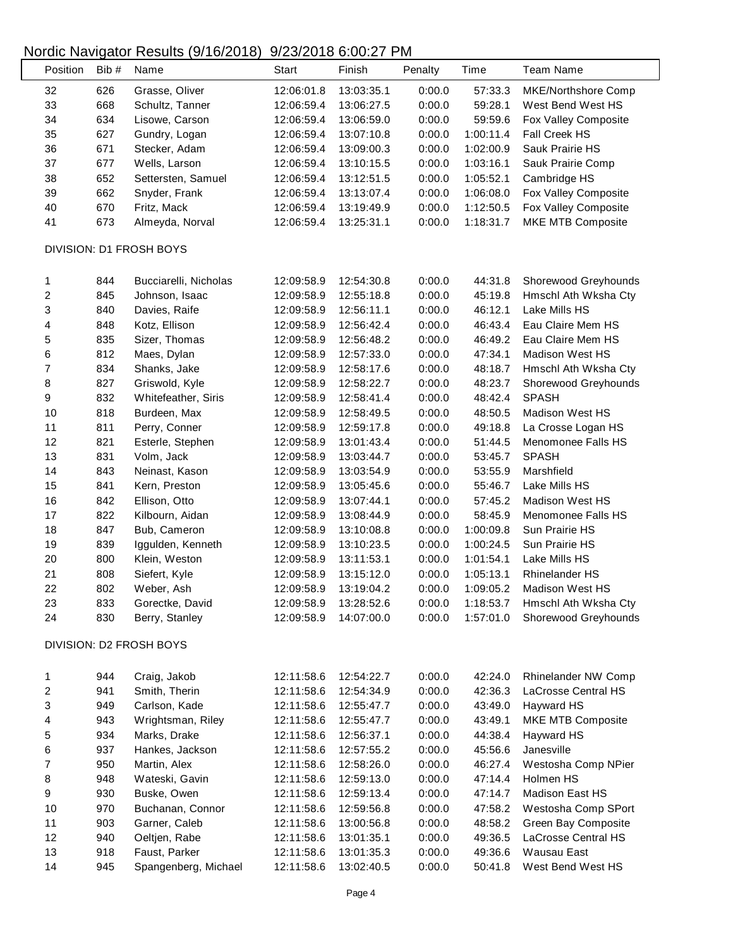## Nordic Navigator Results (9/16/2018) 9/23/2018 6:00:27 PM

| Position                | Bib# | Name                    | <b>Start</b> | Finish                   | Penalty | Time      | <b>Team Name</b>       |  |
|-------------------------|------|-------------------------|--------------|--------------------------|---------|-----------|------------------------|--|
| 32                      | 626  | Grasse, Oliver          | 12:06:01.8   | 13:03:35.1               | 0:00.0  | 57:33.3   | MKE/Northshore Comp    |  |
| 33                      | 668  | Schultz, Tanner         | 12:06:59.4   | 13:06:27.5               | 0:00.0  | 59:28.1   | West Bend West HS      |  |
| 34                      | 634  | Lisowe, Carson          | 12:06:59.4   | 13:06:59.0               | 0:00.0  | 59:59.6   | Fox Valley Composite   |  |
| 35                      | 627  | Gundry, Logan           | 12:06:59.4   | 13:07:10.8               | 0:00.0  | 1:00:11.4 | Fall Creek HS          |  |
| 36                      | 671  | Stecker, Adam           | 12:06:59.4   | 13:09:00.3               | 0:00.0  | 1:02:00.9 | Sauk Prairie HS        |  |
| 37                      | 677  | Wells, Larson           | 12:06:59.4   | 13:10:15.5               | 0:00.0  | 1:03:16.1 | Sauk Prairie Comp      |  |
| 38                      | 652  | Settersten, Samuel      | 12:06:59.4   | 13:12:51.5               | 0:00.0  | 1:05:52.1 | Cambridge HS           |  |
| 39                      | 662  | Snyder, Frank           | 12:06:59.4   | 13:13:07.4               | 0:00.0  | 1:06:08.0 | Fox Valley Composite   |  |
| 40                      | 670  | Fritz, Mack             | 12:06:59.4   | 13:19:49.9               | 0:00.0  | 1:12:50.5 | Fox Valley Composite   |  |
| 41                      | 673  | Almeyda, Norval         | 12:06:59.4   | 13:25:31.1               | 0:00.0  | 1:18:31.7 | MKE MTB Composite      |  |
| DIVISION: D1 FROSH BOYS |      |                         |              |                          |         |           |                        |  |
|                         |      |                         |              |                          |         |           |                        |  |
| 1                       | 844  | Bucciarelli, Nicholas   | 12:09:58.9   | 12:54:30.8               | 0:00.0  | 44:31.8   | Shorewood Greyhounds   |  |
| $\overline{\mathbf{c}}$ | 845  | Johnson, Isaac          | 12:09:58.9   | 12:55:18.8               | 0:00.0  | 45:19.8   | Hmschl Ath Wksha Cty   |  |
| 3                       | 840  | Davies, Raife           | 12:09:58.9   | 12:56:11.1               | 0:00.0  | 46:12.1   | Lake Mills HS          |  |
| 4                       | 848  | Kotz, Ellison           | 12:09:58.9   | 12:56:42.4               | 0:00.0  | 46:43.4   | Eau Claire Mem HS      |  |
| 5                       | 835  | Sizer, Thomas           | 12:09:58.9   | 12:56:48.2               | 0:00.0  | 46:49.2   | Eau Claire Mem HS      |  |
| 6                       | 812  | Maes, Dylan             | 12:09:58.9   | 12:57:33.0               | 0:00.0  | 47:34.1   | <b>Madison West HS</b> |  |
| $\overline{\mathbf{7}}$ | 834  | Shanks, Jake            | 12:09:58.9   | 12:58:17.6               | 0:00.0  | 48:18.7   | Hmschl Ath Wksha Cty   |  |
| 8                       | 827  | Griswold, Kyle          | 12:09:58.9   | 12:58:22.7               | 0:00.0  | 48:23.7   | Shorewood Greyhounds   |  |
| 9                       | 832  | Whitefeather, Siris     | 12:09:58.9   | 12:58:41.4               | 0:00.0  | 48:42.4   | <b>SPASH</b>           |  |
| 10                      | 818  | Burdeen, Max            | 12:09:58.9   | 12:58:49.5               | 0:00.0  | 48:50.5   | <b>Madison West HS</b> |  |
| 11                      | 811  | Perry, Conner           | 12:09:58.9   | 12:59:17.8               | 0:00.0  | 49:18.8   | La Crosse Logan HS     |  |
| 12                      | 821  | Esterle, Stephen        | 12:09:58.9   | 13:01:43.4               | 0:00.0  | 51:44.5   | Menomonee Falls HS     |  |
| 13                      | 831  | Volm, Jack              | 12:09:58.9   | 13:03:44.7               | 0:00.0  | 53:45.7   | <b>SPASH</b>           |  |
| 14                      | 843  | Neinast, Kason          | 12:09:58.9   | 13:03:54.9               | 0:00.0  | 53:55.9   | Marshfield             |  |
| 15                      | 841  | Kern, Preston           | 12:09:58.9   | 13:05:45.6               | 0:00.0  | 55:46.7   | Lake Mills HS          |  |
| 16                      | 842  | Ellison, Otto           | 12:09:58.9   | 13:07:44.1               | 0:00.0  | 57:45.2   | <b>Madison West HS</b> |  |
| 17                      | 822  | Kilbourn, Aidan         | 12:09:58.9   | 13:08:44.9               | 0:00.0  | 58:45.9   | Menomonee Falls HS     |  |
| 18                      | 847  | Bub, Cameron            | 12:09:58.9   | 13:10:08.8               | 0:00.0  | 1:00:09.8 | Sun Prairie HS         |  |
|                         | 839  | Iggulden, Kenneth       |              |                          | 0:00.0  | 1:00:24.5 | Sun Prairie HS         |  |
| 19                      | 800  | Klein, Weston           | 12:09:58.9   | 13:10:23.5<br>13:11:53.1 |         | 1:01:54.1 |                        |  |
| 20                      |      |                         | 12:09:58.9   |                          | 0:00.0  |           | Lake Mills HS          |  |
| 21                      | 808  | Siefert, Kyle           | 12:09:58.9   | 13:15:12.0               | 0:00.0  | 1:05:13.1 | <b>Rhinelander HS</b>  |  |
| 22                      | 802  | Weber, Ash              | 12:09:58.9   | 13:19:04.2               | 0:00.0  | 1:09:05.2 | Madison West HS        |  |
| 23                      | 833  | Gorectke, David         | 12:09:58.9   | 13:28:52.6               | 0:00.0  | 1:18:53.7 | Hmschl Ath Wksha Cty   |  |
| 24                      | 830  | Berry, Stanley          | 12:09:58.9   | 14:07:00.0               | 0:00.0  | 1:57:01.0 | Shorewood Greyhounds   |  |
|                         |      | DIVISION: D2 FROSH BOYS |              |                          |         |           |                        |  |
| 1                       | 944  | Craig, Jakob            | 12:11:58.6   | 12:54:22.7               | 0:00.0  | 42:24.0   | Rhinelander NW Comp    |  |
| $\overline{\mathbf{c}}$ | 941  | Smith, Therin           | 12:11:58.6   | 12:54:34.9               | 0:00.0  | 42:36.3   | LaCrosse Central HS    |  |
| 3                       | 949  | Carlson, Kade           | 12:11:58.6   | 12:55:47.7               | 0:00.0  | 43:49.0   | Hayward HS             |  |
| 4                       | 943  | Wrightsman, Riley       | 12:11:58.6   | 12:55:47.7               | 0:00.0  | 43:49.1   | MKE MTB Composite      |  |
| 5                       | 934  | Marks, Drake            | 12:11:58.6   | 12:56:37.1               | 0:00.0  | 44:38.4   | Hayward HS             |  |
| 6                       | 937  | Hankes, Jackson         | 12:11:58.6   | 12:57:55.2               | 0:00.0  | 45:56.6   | Janesville             |  |
| $\overline{\mathbf{7}}$ | 950  | Martin, Alex            | 12:11:58.6   | 12:58:26.0               | 0:00.0  | 46:27.4   | Westosha Comp NPier    |  |
| 8                       | 948  | Wateski, Gavin          | 12:11:58.6   | 12:59:13.0               | 0:00.0  | 47:14.4   | Holmen HS              |  |
| 9                       | 930  | Buske, Owen             | 12:11:58.6   | 12:59:13.4               | 0:00.0  | 47:14.7   | Madison East HS        |  |
| 10                      | 970  | Buchanan, Connor        | 12:11:58.6   | 12:59:56.8               | 0:00.0  | 47:58.2   | Westosha Comp SPort    |  |
| 11                      | 903  | Garner, Caleb           | 12:11:58.6   | 13:00:56.8               | 0:00.0  | 48:58.2   | Green Bay Composite    |  |
| 12                      | 940  | Oeltjen, Rabe           | 12:11:58.6   | 13:01:35.1               | 0:00.0  | 49:36.5   | LaCrosse Central HS    |  |
| 13                      | 918  | Faust, Parker           | 12:11:58.6   | 13:01:35.3               | 0:00.0  | 49:36.6   | Wausau East            |  |
| 14                      | 945  | Spangenberg, Michael    | 12:11:58.6   | 13:02:40.5               | 0:00.0  | 50:41.8   | West Bend West HS      |  |
|                         |      |                         |              |                          |         |           |                        |  |

 $\overline{\phantom{a}}$